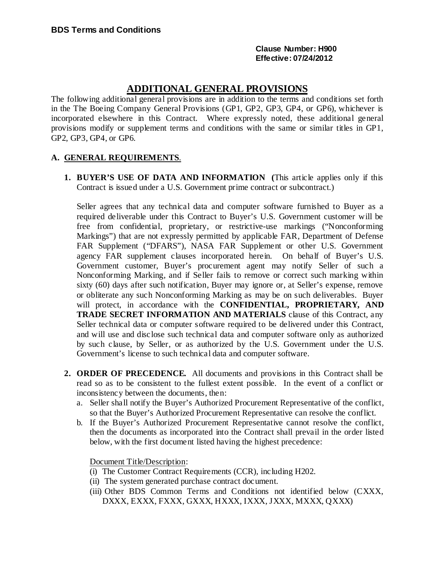### **Clause Number: H900 Effective: 07/24/2012**

# **ADDITIONAL GENERAL PROVISIONS**

The following additional general provisions are in addition to the terms and conditions set forth in the The Boeing Company General Provisions (GP1, GP2, GP3, GP4, or GP6), whichever is incorporated elsewhere in this Contract. Where expressly noted, these additional general provisions modify or supplement terms and conditions with the same or similar titles in GP1, GP2, GP3, GP4, or GP6.

## **A. GENERAL REQUIREMENTS**.

**1. BUYER'S USE OF DATA AND INFORMATION (**This article applies only if this Contract is issued under a U.S. Government prime contract or subcontract.)

Seller agrees that any technical data and computer software furnished to Buyer as a required deliverable under this Contract to Buyer's U.S. Government customer will be free from confidential, proprietary, or restrictive-use markings ("Nonconforming Markings") that are not expressly permitted by applicable FAR, Department of Defense FAR Supplement ("DFARS"), NASA FAR Supplement or other U.S. Government agency FAR supplement clauses incorporated herein. On behalf of Buyer's U.S. Government customer, Buyer's procurement agent may notify Seller of such a Nonconforming Marking, and if Seller fails to remove or correct such marking within sixty (60) days after such notification, Buyer may ignore or, at Seller's expense, remove or obliterate any such Nonconforming Marking as may be on such deliverables. Buyer will protect, in accordance with the **CONFIDENTIAL, PROPRIETARY, AND TRADE SECRET INFORMATION AND MATERIALS** clause of this Contract, any Seller technical data or computer software required to be delivered under this Contract, and will use and disclose such technical data and computer software only as authorized by such clause, by Seller, or as authorized by the U.S. Government under the U.S. Government's license to such technical data and computer software.

- **2. ORDER OF PRECEDENCE.** All documents and provisions in this Contract shall be read so as to be consistent to the fullest extent possible. In the event of a conflict or inconsistency between the documents, then:
	- a. Seller shall notify the Buyer's Authorized Procurement Representative of the conflict, so that the Buyer's Authorized Procurement Representative can resolve the conflict.
	- b. If the Buyer's Authorized Procurement Representative cannot resolve the conflict, then the documents as incorporated into the Contract shall prevail in the order listed below, with the first document listed having the highest precedence:

Document Title/Description:

- (i) The Customer Contract Requirements (CCR), including H202.
- (ii) The system generated purchase contract document.
- (iii) Other BDS Common Terms and Conditions not identified below (CXXX, DXXX, EXXX, FXXX, GXXX, HXXX, IXXX, JXXX, MXXX, QXXX)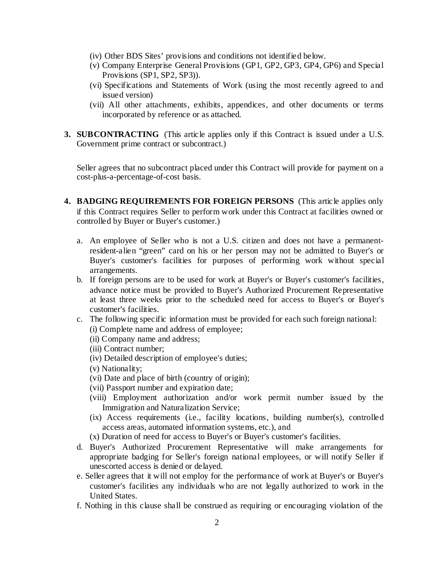- (iv) Other BDS Sites' provisions and conditions not identified below.
- (v) Company Enterprise General Provisions (GP1, GP2, GP3, GP4, GP6) and Special Provisions (SP1, SP2, SP3)).
- (vi) Specifications and Statements of Work (using the most recently agreed to and issued version)
- (vii) All other attachments, exhibits, appendices, and other documents or terms incorporated by reference or as attached.
- **3. SUBCONTRACTING** (This article applies only if this Contract is issued under a U.S. Government prime contract or subcontract.)

Seller agrees that no subcontract placed under this Contract will provide for payment on a cost-plus-a-percentage-of-cost basis.

- **4. BADGING REQUIREMENTS FOR FOREIGN PERSONS** (This article applies only if this Contract requires Seller to perform work under this Contract at facilities owned or controlled by Buyer or Buyer's customer.)
	- a. An employee of Seller who is not a U.S. citizen and does not have a permanentresident-alien "green" card on his or her person may not be admitted to Buyer's or Buyer's customer's facilities for purposes of performing work without special arrangements.
	- b. If foreign persons are to be used for work at Buyer's or Buyer's customer's facilities, advance notice must be provided to Buyer's Authorized Procurement Representative at least three weeks prior to the scheduled need for access to Buyer's or Buyer's customer's facilities.
	- c. The following specific information must be provided for each such foreign national:
		- (i) Complete name and address of employee;
		- (ii) Company name and address;
		- (iii) Contract number;
		- (iv) Detailed description of employee's duties;
		- (v) Nationality;
		- (vi) Date and place of birth (country of origin);
		- (vii) Passport number and expiration date;
		- (viii) Employment authorization and/or work permit number issued by the Immigration and Naturalization Service;
		- (ix) Access requirements (i.e., facility locations, building number(s), controlled access areas, automated information systems, etc.), and
		- (x) Duration of need for access to Buyer's or Buyer's customer's facilities.
	- d. Buyer's Authorized Procurement Representative will make arrangements for appropriate badging for Seller's foreign national employees, or will notify Seller if unescorted access is denied or delayed.
	- e. Seller agrees that it will not employ for the performance of work at Buyer's or Buyer's customer's facilities any individuals who are not legally authorized to work in the United States.
	- f. Nothing in this clause shall be construed as requiring or encouraging violation of the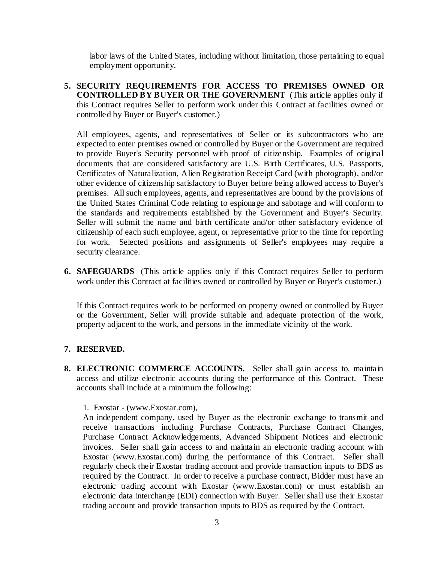labor laws of the United States, including without limitation, those pertaining to equal employment opportunity.

**5. SECURITY REQUIREMENTS FOR ACCESS TO PREMISES OWNED OR CONTROLLED BY BUYER OR THE GOVERNMENT** (This article applies only if this Contract requires Seller to perform work under this Contract at facilities owned or controlled by Buyer or Buyer's customer.)

All employees, agents, and representatives of Seller or its subcontractors who are expected to enter premises owned or controlled by Buyer or the Government are required to provide Buyer's Security personnel with proof of citizenship. Examples of original documents that are considered satisfactory are U.S. Birth Certificates, U.S. Passports, Certificates of Naturalization, Alien Registration Receipt Card (with photograph), and/or other evidence of citizenship satisfactory to Buyer before being allowed access to Buyer's premises. All such employees, agents, and representatives are bound by the provisions of the United States Criminal Code relating to espionage and sabotage and will conform to the standards and requirements established by the Government and Buyer's Security. Seller will submit the name and birth certificate and/or other satisfactory evidence of citizenship of each such employee, agent, or representative prior to the time for reporting for work. Selected positions and assignments of Seller's employees may require a security clearance.

**6. SAFEGUARDS** (This article applies only if this Contract requires Seller to perform work under this Contract at facilities owned or controlled by Buyer or Buyer's customer.)

If this Contract requires work to be performed on property owned or controlled by Buyer or the Government, Seller will provide suitable and adequate protection of the work, property adjacent to the work, and persons in the immediate vicinity of the work.

## **7. RESERVED.**

**8. ELECTRONIC COMMERCE ACCOUNTS.** Seller shall gain access to, maintain access and utilize electronic accounts during the performance of this Contract. These accounts shall include at a minimum the following:

1. Exostar - (www.Exostar.com),

An independent company, used by Buyer as the electronic exchange to transmit and receive transactions including Purchase Contracts, Purchase Contract Changes, Purchase Contract Acknowledgements, Advanced Shipment Notices and electronic invoices. Seller shall gain access to and maintain an electronic trading account with Exostar (www.Exostar.com) during the performance of this Contract. Seller shall regularly check their Exostar trading account and provide transaction inputs to BDS as required by the Contract. In order to receive a purchase contract, Bidder must have an electronic trading account with Exostar (www.Exostar.com) or must establish an electronic data interchange (EDI) connection with Buyer. Seller shall use their Exostar trading account and provide transaction inputs to BDS as required by the Contract.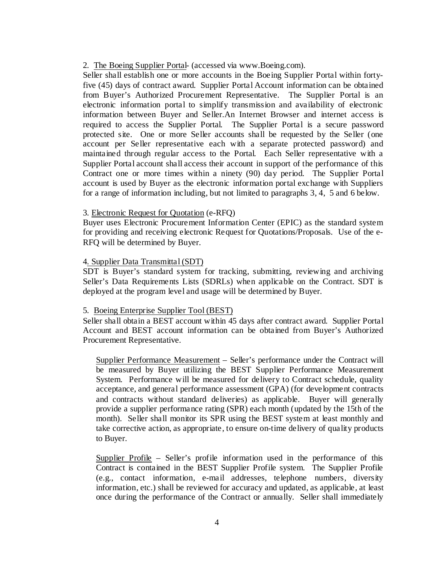2. The Boeing Supplier Portal- (accessed via www.Boeing.com).

Seller shall establish one or more accounts in the Boeing Supplier Portal within fortyfive (45) days of contract award. Supplier Portal Account information can be obtained from Buyer's Authorized Procurement Representative. The Supplier Portal is an electronic information portal to simplify transmission and availability of electronic information between Buyer and Seller.An Internet Browser and internet access is required to access the Supplier Portal. The Supplier Portal is a secure password protected site. One or more Seller accounts shall be requested by the Seller (one account per Seller representative each with a separate protected password) and maintained through regular access to the Portal. Each Seller representative with a Supplier Portal account shall access their account in support of the performance of this Contract one or more times within a ninety (90) day period. The Supplier Portal account is used by Buyer as the electronic information portal exchange with Suppliers for a range of information including, but not limited to paragraphs 3, 4, 5 and 6 below.

## 3. Electronic Request for Quotation (e-RFQ)

Buyer uses Electronic Procurement Information Center (EPIC) as the standard system for providing and receiving electronic Request for Quotations/Proposals. Use of the e-RFQ will be determined by Buyer.

## 4. Supplier Data Transmittal (SDT)

SDT is Buyer's standard system for tracking, submitting, reviewing and archiving Seller's Data Requirements Lists (SDRLs) when applicable on the Contract. SDT is deployed at the program level and usage will be determined by Buyer.

## 5. Boeing Enterprise Supplier Tool (BEST)

Seller shall obtain a BEST account within 45 days after contract award. Supplier Portal Account and BEST account information can be obtained from Buyer's Authorized Procurement Representative.

Supplier Performance Measurement – Seller's performance under the Contract will be measured by Buyer utilizing the BEST Supplier Performance Measurement System. Performance will be measured for delivery to Contract schedule, quality acceptance, and general performance assessment (GPA) (for development contracts and contracts without standard deliveries) as applicable. Buyer will generally provide a supplier performance rating (SPR) each month (updated by the 15th of the month). Seller shall monitor its SPR using the BEST system at least monthly and take corrective action, as appropriate, to ensure on-time delivery of quality products to Buyer.

Supplier Profile – Seller's profile information used in the performance of this Contract is contained in the BEST Supplier Profile system. The Supplier Profile (e.g., contact information, e-mail addresses, telephone numbers, diversity information, etc.) shall be reviewed for accuracy and updated, as applicable, at least once during the performance of the Contract or annually. Seller shall immediately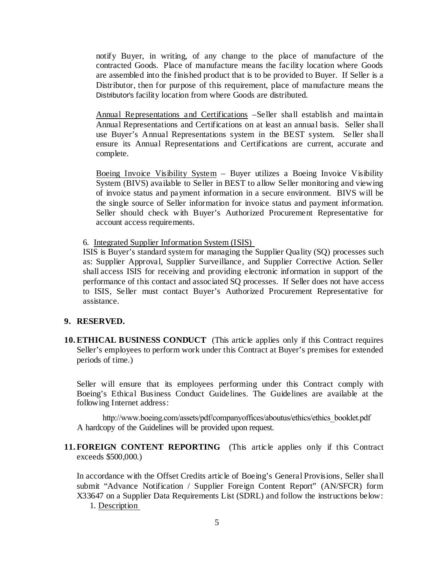notify Buyer, in writing, of any change to the place of manufacture of the contracted Goods. Place of manufacture means the facility location where Goods are assembled into the finished product that is to be provided to Buyer. If Seller is a Distributor, then for purpose of this requirement, place of manufacture means the Distributor's facility location from where Goods are distributed.

Annual Representations and Certifications –Seller shall establish and maintain Annual Representations and Certifications on at least an annual basis. Seller shall use Buyer's Annual Representations system in the BEST system. Seller shall ensure its Annual Representations and Certifications are current, accurate and complete.

Boeing Invoice Visibility System – Buyer utilizes a Boeing Invoice Visibility System (BIVS) available to Seller in BEST to allow Seller monitoring and viewing of invoice status and payment information in a secure environment. BIVS will be the single source of Seller information for invoice status and payment information. Seller should check with Buyer's Authorized Procurement Representative for account access requirements.

6. Integrated Supplier Information System (ISIS)

ISIS is Buyer's standard system for managing the Supplier Quality (SQ) processes such as: Supplier Approval, Supplier Surveillance, and Supplier Corrective Action. Seller shall access ISIS for receiving and providing electronic information in support of the performance of this contact and associated SQ processes. If Seller does not have access to ISIS, Seller must contact Buyer's Authorized Procurement Representative for assistance.

## **9. RESERVED.**

**10.ETHICAL BUSINESS CONDUCT** (This article applies only if this Contract requires Seller's employees to perform work under this Contract at Buyer's premises for extended periods of time.)

Seller will ensure that its employees performing under this Contract comply with Boeing's Ethical Business Conduct Guidelines. The Guidelines are available at the following Internet address:

[http://www.boeing.com/assets/pdf/companyoffices/aboutus/ethics/ethics\\_booklet.pdf](http://www.boeing.com/assets/pdf/companyoffices/aboutus/ethics/ethics_booklet.pdf) A hardcopy of the Guidelines will be provided upon request.

**11.FOREIGN CONTENT REPORTING** (This article applies only if this Contract exceeds \$500,000.)

In accordance with the Offset Credits article of Boeing's General Provisions, Seller shall submit "Advance Notification / Supplier Foreign Content Report" (AN/SFCR) form X33647 on a Supplier Data Requirements List (SDRL) and follow the instructions below: 1. Description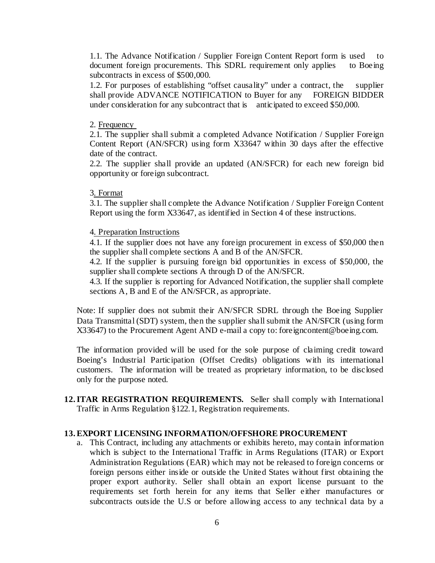1.1. The Advance Notification / Supplier Foreign Content Report form is used to document foreign procurements. This SDRL requirement only applies to Boeing subcontracts in excess of \$500,000.

1.2. For purposes of establishing "offset causality" under a contract, the supplier shall provide ADVANCE NOTIFICATION to Buyer for any FOREIGN BIDDER under consideration for any subcontract that is anticipated to exceed \$50,000.

#### 2. Frequency

2.1. The supplier shall submit a completed Advance Notification / Supplier Foreign Content Report (AN/SFCR) using form X33647 within 30 days after the effective date of the contract.

2.2. The supplier shall provide an updated (AN/SFCR) for each new foreign bid opportunity or foreign subcontract.

## 3. Format

3.1. The supplier shall complete the Advance Notification / Supplier Foreign Content Report using the form X33647, as identified in Section 4 of these instructions.

## 4. Preparation Instructions

4.1. If the supplier does not have any foreign procurement in excess of \$50,000 then the supplier shall complete sections A and B of the AN/SFCR.

4.2. If the supplier is pursuing foreign bid opportunities in excess of \$50,000, the supplier shall complete sections A through D of the AN/SFCR.

4.3. If the supplier is reporting for Advanced Notification, the supplier shall complete sections A, B and E of the AN/SFCR, as appropriate.

Note: If supplier does not submit their AN/SFCR SDRL through the Boeing Supplier Data Transmittal (SDT) system, then the supplier shall submit the AN/SFCR (using form X33647) to the Procurement Agent AND e-mail a copy to: foreigncontent@boeing.com.

The information provided will be used for the sole purpose of claiming credit toward Boeing's Industrial Participation (Offset Credits) obligations with its international customers. The information will be treated as proprietary information, to be disclosed only for the purpose noted.

**12.ITAR REGISTRATION REQUIREMENTS.** Seller shall comply with International Traffic in Arms Regulation §122.1, Registration requirements.

## **13.EXPORT LICENSING INFORMATION/OFFSHORE PROCUREMENT**

a. This Contract, including any attachments or exhibits hereto, may contain information which is subject to the International Traffic in Arms Regulations (ITAR) or Export Administration Regulations (EAR) which may not be released to foreign concerns or foreign persons either inside or outside the United States without first obtaining the proper export authority. Seller shall obtain an export license pursuant to the requirements set forth herein for any items that Seller either manufactures or subcontracts outside the U.S or before allowing access to any technical data by a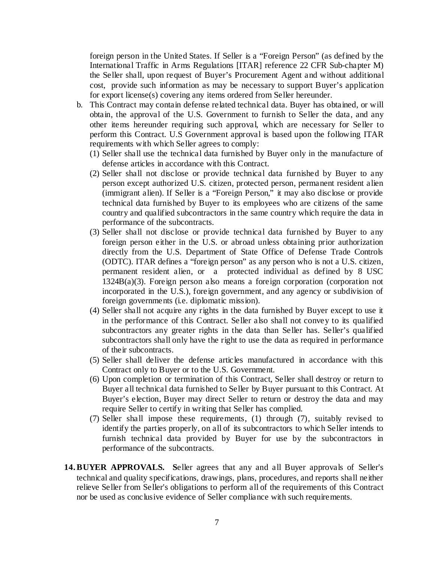foreign person in the United States. If Seller is a "Foreign Person" (as defined by the International Traffic in Arms Regulations [ITAR] reference 22 CFR Sub-chapter M) the Seller shall, upon request of Buyer's Procurement Agent and without additional cost, provide such information as may be necessary to support Buyer's application for export license(s) covering any items ordered from Seller hereunder.

- b. This Contract may contain defense related technical data. Buyer has obtained, or will obtain, the approval of the U.S. Government to furnish to Seller the data, and any other items hereunder requiring such approval, which are necessary for Seller to perform this Contract. U.S Government approval is based upon the following ITAR requirements with which Seller agrees to comply:
	- (1) Seller shall use the technical data furnished by Buyer only in the manufacture of defense articles in accordance with this Contract.
	- (2) Seller shall not disclose or provide technical data furnished by Buyer to any person except authorized U.S. citizen, protected person, permanent resident alien (immigrant alien). If Seller is a "Foreign Person," it may also disclose or provide technical data furnished by Buyer to its employees who are citizens of the same country and qualified subcontractors in the same country which require the data in performance of the subcontracts.
	- (3) Seller shall not disclose or provide technical data furnished by Buyer to any foreign person either in the U.S. or abroad unless obtaining prior authorization directly from the U.S. Department of State Office of Defense Trade Controls (ODTC). ITAR defines a "foreign person" as any person who is not a U.S. citizen, permanent resident alien, or a protected individual as defined by 8 USC 1324B(a)(3). Foreign person also means a foreign corporation (corporation not incorporated in the U.S.), foreign government, and any agency or subdivision of foreign governments (i.e. diplomatic mission).
	- (4) Seller shall not acquire any rights in the data furnished by Buyer except to use it in the performance of this Contract. Seller also shall not convey to its qualified subcontractors any greater rights in the data than Seller has. Seller's qualified subcontractors shall only have the right to use the data as required in performance of their subcontracts.
	- (5) Seller shall deliver the defense articles manufactured in accordance with this Contract only to Buyer or to the U.S. Government.
	- (6) Upon completion or termination of this Contract, Seller shall destroy or return to Buyer all technical data furnished to Seller by Buyer pursuant to this Contract. At Buyer's election, Buyer may direct Seller to return or destroy the data and may require Seller to certify in writing that Seller has complied.
	- (7) Seller shall impose these requirements, (1) through (7), suitably revised to identify the parties properly, on all of its subcontractors to which Seller intends to furnish technical data provided by Buyer for use by the subcontractors in performance of the subcontracts.
- **14.BUYER APPROVALS. S**eller agrees that any and all Buyer approvals of Seller's technical and quality specifications, drawings, plans, procedures, and reports shall neither relieve Seller from Seller's obligations to perform all of the requirements of this Contract nor be used as conclusive evidence of Seller compliance with such requirements.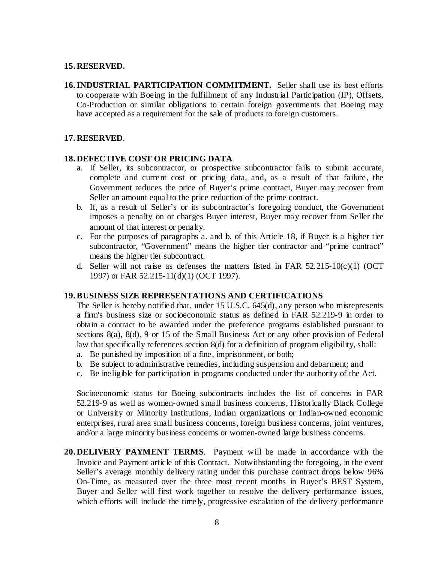### **15. RESERVED.**

**16.INDUSTRIAL PARTICIPATION COMMITMENT.** Seller shall use its best efforts to cooperate with Boeing in the fulfillment of any Industrial Participation (IP), Offsets, Co-Production or similar obligations to certain foreign governments that Boeing may have accepted as a requirement for the sale of products to foreign customers.

### **17. RESERVED**.

## **18. DEFECTIVE COST OR PRICING DATA**

- a. If Seller, its subcontractor, or prospective subcontractor fails to submit accurate, complete and current cost or pricing data, and, as a result of that failure, the Government reduces the price of Buyer's prime contract, Buyer may recover from Seller an amount equal to the price reduction of the prime contract.
- b. If, as a result of Seller's or its subcontractor's foregoing conduct, the Government imposes a penalty on or charges Buyer interest, Buyer may recover from Seller the amount of that interest or penalty.
- c. For the purposes of paragraphs a. and b. of this Article 18, if Buyer is a higher tier subcontractor, "Government" means the higher tier contractor and "prime contract" means the higher tier subcontract.
- d. Seller will not raise as defenses the matters listed in FAR  $52.215-10(c)(1)$  (OCT 1997) or FAR 52.215-11(d)(1) (OCT 1997).

#### **19.BUSINESS SIZE REPRESENTATIONS AND CERTIFICATIONS**

The Seller is hereby notified that, under 15 U.S.C. 645(d), any person who misrepresents a firm's business size or socioeconomic status as defined in FAR 52.219-9 in order to obtain a contract to be awarded under the preference programs established pursuant to sections 8(a), 8(d), 9 or 15 of the Small Business Act or any other provision of Federal law that specifically references section 8(d) for a definition of program eligibility, shall:

- a. Be punished by imposition of a fine, imprisonment, or both;
- b. Be subject to administrative remedies, including suspension and debarment; and
- c. Be ineligible for participation in programs conducted under the authority of the Act.

Socioeconomic status for Boeing subcontracts includes the list of concerns in FAR 52.219-9 as well as women-owned small business concerns, Historically Black College or University or Minority Institutions, Indian organizations or Indian-owned economic enterprises, rural area small business concerns, foreign business concerns, joint ventures, and/or a large minority business concerns or women-owned large business concerns.

**20. DELIVERY PAYMENT TERMS**. Payment will be made in accordance with the Invoice and Payment article of this Contract. Notwithstanding the foregoing, in the event Seller's average monthly delivery rating under this purchase contract drops below 96% On-Time, as measured over the three most recent months in Buyer's BEST System, Buyer and Seller will first work together to resolve the delivery performance issues, which efforts will include the timely, progressive escalation of the delivery performance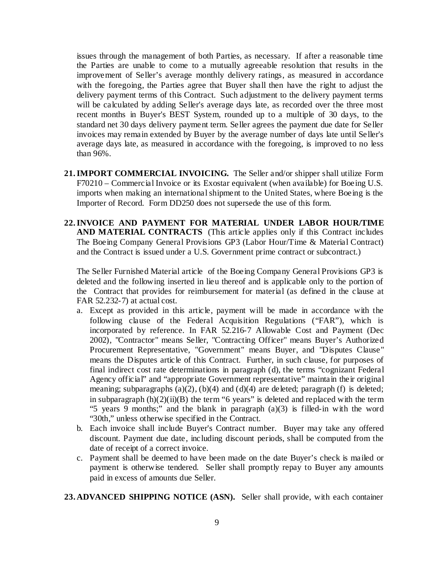issues through the management of both Parties, as necessary. If after a reasonable time the Parties are unable to come to a mutually agreeable resolution that results in the improvement of Seller's average monthly delivery ratings, as measured in accordance with the foregoing, the Parties agree that Buyer shall then have the right to adjust the delivery payment terms of this Contract. Such adjustment to the delivery payment terms will be calculated by adding Seller's average days late, as recorded over the three most recent months in Buyer's BEST System, rounded up to a multiple of 30 days, to the standard net 30 days delivery payment term. Seller agrees the payment due date for Seller invoices may remain extended by Buyer by the average number of days late until Seller's average days late, as measured in accordance with the foregoing, is improved to no less than 96%.

- **21.IMPORT COMMERCIAL INVOICING.** The Seller and/or shipper shall utilize Form F70210 – Commercial Invoice or its Exostar equivalent (when available) for Boeing U.S. imports when making an international shipment to the United States, where Boeing is the Importer of Record. Form DD250 does not supersede the use of this form.
- **22.INVOICE AND PAYMENT FOR MATERIAL UNDER LABOR HOUR/TIME AND MATERIAL CONTRACTS** (This article applies only if this Contract includes The Boeing Company General Provisions GP3 (Labor Hour/Time & Material Contract) and the Contract is issued under a U.S. Government prime contract or subcontract.)

The Seller Furnished Material article of the Boeing Company General Provisions GP3 is deleted and the following inserted in lieu thereof and is applicable only to the portion of the Contract that provides for reimbursement for material (as defined in the clause at FAR 52.232-7) at actual cost.

- a. Except as provided in this article, payment will be made in accordance with the following clause of the Federal Acquisition Regulations ("FAR"), which is incorporated by reference. In FAR 52.216-7 Allowable Cost and Payment (Dec 2002), "Contractor" means Seller, "Contracting Officer" means Buyer's Authorized Procurement Representative, "Government" means Buyer, and "Disputes Clause" means the Disputes article of this Contract. Further, in such clause, for purposes of final indirect cost rate determinations in paragraph (d), the terms "cognizant Federal Agency official" and "appropriate Government representative" maintain their original meaning; subparagraphs  $(a)(2)$ ,  $(b)(4)$  and  $(d)(4)$  are deleted; paragraph (f) is deleted; in subparagraph  $(h)(2)(ii)(B)$  the term "6 years" is deleted and replaced with the term "5 years 9 months;" and the blank in paragraph (a)(3) is filled-in with the word "30th," unless otherwise specified in the Contract.
- b. Each invoice shall include Buyer's Contract number. Buyer may take any offered discount. Payment due date, including discount periods, shall be computed from the date of receipt of a correct invoice.
- c. Payment shall be deemed to have been made on the date Buyer's check is mailed or payment is otherwise tendered. Seller shall promptly repay to Buyer any amounts paid in excess of amounts due Seller.

**23. ADVANCED SHIPPING NOTICE (ASN).** Seller shall provide, with each container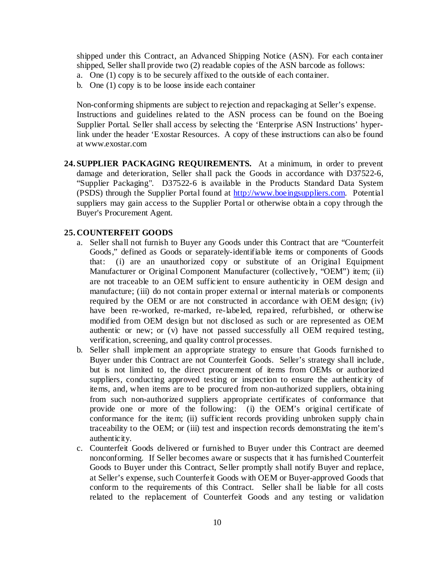shipped under this Contract, an Advanced Shipping Notice (ASN). For each container shipped, Seller shall provide two (2) readable copies of the ASN barcode as follows:

- a. One (1) copy is to be securely affixed to the outside of each container.
- b. One (1) copy is to be loose inside each container

Non-conforming shipments are subject to rejection and repackaging at Seller's expense. Instructions and guidelines related to the ASN process can be found on the Boeing Supplier Portal. Seller shall access by selecting the 'Enterprise ASN Instructions' hyperlink under the header 'Exostar Resources. A copy of these instructions can also be found at [www.exostar.com](http://www.exostar.com/)

**24. SUPPLIER PACKAGING REQUIREMENTS.** At a minimum, in order to prevent damage and deterioration, Seller shall pack the Goods in accordance with D37522-6, "Supplier Packaging". D37522-6 is available in the Products Standard Data System (PSDS) through the Supplier Portal found at [http://www.boeingsuppliers.com.](http://www.boeingsuppliers.com/) Potential suppliers may gain access to the Supplier Portal or otherwise obtain a copy through the Buyer's Procurement Agent.

### **25. COUNTERFEIT GOODS**

- a. Seller shall not furnish to Buyer any Goods under this Contract that are "Counterfeit Goods," defined as Goods or separately-identifiable items or components of Goods that: (i) are an unauthorized copy or substitute of an Original Equipment Manufacturer or Original Component Manufacturer (collectively, "OEM") item; (ii) are not traceable to an OEM sufficient to ensure authenticity in OEM design and manufacture; (iii) do not contain proper external or internal materials or components required by the OEM or are not constructed in accordance with OEM design; (iv) have been re-worked, re-marked, re-labeled, repaired, refurbished, or otherwise modified from OEM design but not disclosed as such or are represented as OEM authentic or new; or (v) have not passed successfully all OEM required testing, verification, screening, and quality control processes.
- b. Seller shall implement an appropriate strategy to ensure that Goods furnished to Buyer under this Contract are not Counterfeit Goods. Seller's strategy shall include, but is not limited to, the direct procurement of items from OEMs or authorized suppliers, conducting approved testing or inspection to ensure the authenticity of items, and, when items are to be procured from non-authorized suppliers, obtaining from such non-authorized suppliers appropriate certificates of conformance that provide one or more of the following: (i) the OEM's original certificate of conformance for the item; (ii) sufficient records providing unbroken supply chain traceability to the OEM; or (iii) test and inspection records demonstrating the item's authenticity.
- c. Counterfeit Goods delivered or furnished to Buyer under this Contract are deemed nonconforming. If Seller becomes aware or suspects that it has furnished Counterfeit Goods to Buyer under this Contract, Seller promptly shall notify Buyer and replace, at Seller's expense, such Counterfeit Goods with OEM or Buyer-approved Goods that conform to the requirements of this Contract. Seller shall be liable for all costs related to the replacement of Counterfeit Goods and any testing or validation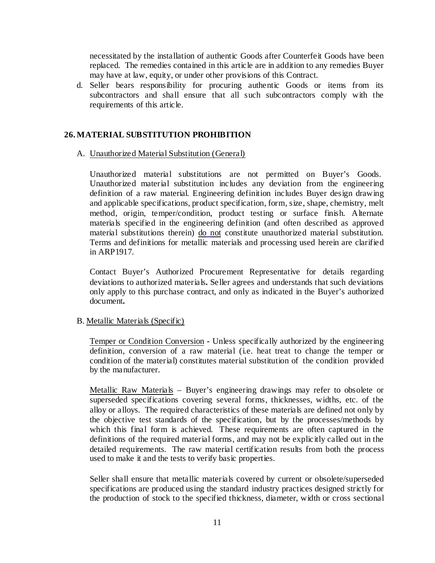necessitated by the installation of authentic Goods after Counterfeit Goods have been replaced. The remedies contained in this article are in addition to any remedies Buyer may have at law, equity, or under other provisions of this Contract.

d. Seller bears responsibility for procuring authentic Goods or items from its subcontractors and shall ensure that all such subcontractors comply with the requirements of this article.

## **26.MATERIAL SUBSTITUTION PROHIBITION**

## A. Unauthorized Material Substitution (General)

Unauthorized material substitutions are not permitted on Buyer's Goods. Unauthorized material substitution includes any deviation from the engineering definition of a raw material. Engineering definition includes Buyer design drawing and applicable specifications, product specification, form, size, shape, chemistry, melt method, origin, temper/condition, product testing or surface finish. Alternate materials specified in the engineering definition (and often described as approved material substitutions therein) do not constitute unauthorized material substitution. Terms and definitions for metallic materials and processing used herein are clarified in ARP1917.

Contact Buyer's Authorized Procurement Representative for details regarding deviations to authorized materials**.** Seller agrees and understands that such deviations only apply to this purchase contract, and only as indicated in the Buyer's authorized document**.** 

## B. Metallic Materials (Specific)

Temper or Condition Conversion **-** Unless specifically authorized by the engineering definition, conversion of a raw material (i.e. heat treat to change the temper or condition of the material) constitutes material substitution of the condition provided by the manufacturer.

Metallic Raw Materials – Buyer's engineering drawings may refer to obsolete or superseded specifications covering several forms, thicknesses, widths, etc. of the alloy or alloys. The required characteristics of these materials are defined not only by the objective test standards of the specification, but by the processes/methods by which this final form is achieved. These requirements are often captured in the definitions of the required material forms, and may not be explicitly called out in the detailed requirements. The raw material certification results from both the process used to make it and the tests to verify basic properties.

Seller shall ensure that metallic materials covered by current or obsolete/superseded specifications are produced using the standard industry practices designed strictly for the production of stock to the specified thickness, diameter, width or cross sectional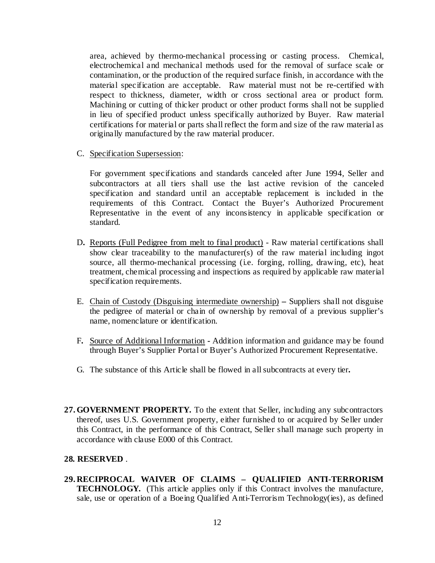area, achieved by thermo-mechanical processing or casting process. Chemical, electrochemical and mechanical methods used for the removal of surface scale or contamination, or the production of the required surface finish, in accordance with the material specification are acceptable. Raw material must not be re-certified with respect to thickness, diameter, width or cross sectional area or product form. Machining or cutting of thicker product or other product forms shall not be supplied in lieu of specified product unless specifically authorized by Buyer. Raw material certifications for material or parts shall reflect the form and size of the raw material as originally manufactured by the raw material producer.

C. Specification Supersession:

For government specifications and standards canceled after June 1994, Seller and subcontractors at all tiers shall use the last active revision of the canceled specification and standard until an acceptable replacement is included in the requirements of this Contract. Contact the Buyer's Authorized Procurement Representative in the event of any inconsistency in applicable specification or standard.

- D**.** Reports (Full Pedigree from melt to final product) Raw material certifications shall show clear traceability to the manufacturer(s) of the raw material including ingot source, all thermo-mechanical processing (i.e. forging, rolling, drawing, etc), heat treatment, chemical processing and inspections as required by applicable raw material specification requirements.
- E. Chain of Custody (Disguising intermediate ownership) **–** Suppliers shall not disguise the pedigree of material or chain of ownership by removal of a previous supplier's name, nomenclature or identification.
- F**.** Source of Additional Information **-** Addition information and guidance may be found through Buyer's Supplier Portal or Buyer's Authorized Procurement Representative.
- G. The substance of this Article shall be flowed in all subcontracts at every tier**.**
- **27.GOVERNMENT PROPERTY.** To the extent that Seller, including any subcontractors thereof, uses U.S. Government property, either furnished to or acquired by Seller under this Contract, in the performance of this Contract, Seller shall manage such property in accordance with clause E000 of this Contract.

## **28. RESERVED** .

**29. RECIPROCAL WAIVER OF CLAIMS – QUALIFIED ANTI-TERRORISM TECHNOLOGY.** (This article applies only if this Contract involves the manufacture, sale, use or operation of a Boeing Qualified Anti-Terrorism Technology(ies), as defined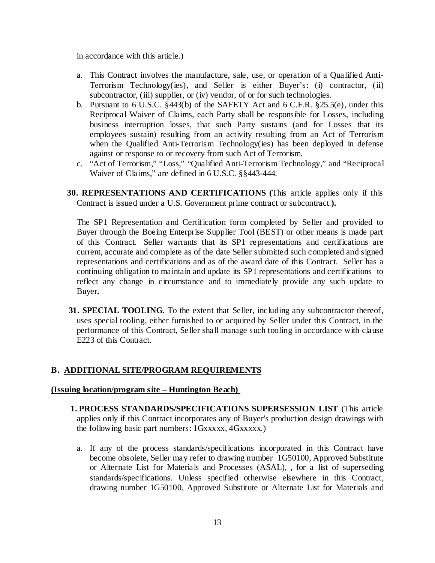in accordance with this article.)

- a. This Contract involves the manufacture, sale, use, or operation of a Qualified Anti-Terrorism Technology(ies), and Seller is either Buyer's: (i) contractor, (ii) subcontractor, (iii) supplier, or (iv) vendor, of or for such technologies.
- b. Pursuant to 6 U.S.C. §443(b) of the SAFETY Act and 6 C.F.R. §25.5(e), under this Reciprocal Waiver of Claims, each Party shall be responsible for Losses, including business interruption losses, that such Party sustains (and for Losses that its employees sustain) resulting from an activity resulting from an Act of Terrorism when the Qualified Anti-Terrorism Technology(ies) has been deployed in defense against or response to or recovery from such Act of Terrorism.
- c. "Act of Terrorism," "Loss," "Qualified Anti-Terrorism Technology," and "Reciprocal Waiver of Claims," are defined in 6 U.S.C. §§443-444.
- **30. REPRESENTATIONS AND CERTIFICATIONS (**This article applies only if this Contract is issued under a U.S. Government prime contract or subcontract.**).**

The SP1 Representation and Certification form completed by Seller and provided to Buyer through the Boeing Enterprise Supplier Tool (BEST) or other means is made part of this Contract. Seller warrants that its SP1 representations and certifications are current, accurate and complete as of the date Seller submitted such completed and signed representations and certifications and as of the award date of this Contract. Seller has a continuing obligation to maintain and update its SP1 representations and certifications to reflect any change in circumstance and to immediately provide any such update to Buyer**.**

**31. SPECIAL TOOLING**. To the extent that Seller, including any subcontractor thereof, uses special tooling, either furnished to or acquired by Seller under this Contract, in the performance of this Contract, Seller shall manage such tooling in accordance with clause E223 of this Contract.

## **B. ADDITIONAL SITE/PROGRAM REQUIREMENTS**

#### **(Issuing location/program site – Huntington Beach)**

- **1. PROCESS STANDARDS/SPECIFICATIONS SUPERSESSION LIST** (This article applies only if this Contract incorporates any of Buyer's production design drawings with the following basic part numbers: 1Gxxxxx, 4Gxxxxx.)
	- a. If any of the process standards/specifications incorporated in this Contract have become obsolete, Seller may refer to drawing number 1G50100, Approved Substitute or Alternate List for Materials and Processes (ASAL), , for a list of superseding standards/specifications. Unless specified otherwise elsewhere in this Contract, drawing number 1G50100, Approved Substitute or Alternate List for Materials and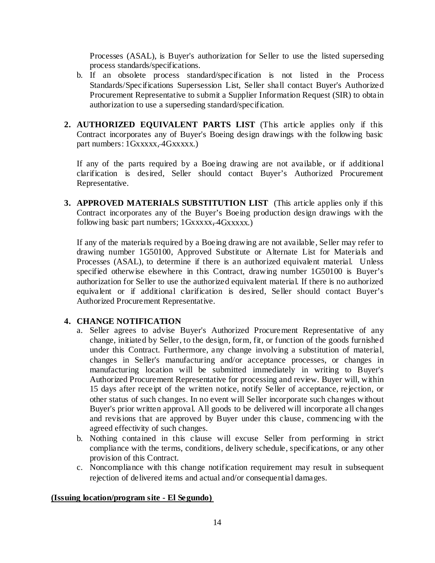Processes (ASAL), is Buyer's authorization for Seller to use the listed superseding process standards/specifications.

- b. If an obsolete process standard/specification is not listed in the Process Standards/Specifications Supersession List, Seller shall contact Buyer's Authorized Procurement Representative to submit a Supplier Information Request (SIR) to obtain authorization to use a superseding standard/specification.
- **2. AUTHORIZED EQUIVALENT PARTS LIST** (This article applies only if this Contract incorporates any of Buyer's Boeing design drawings with the following basic part numbers: 1Gxxxxx, 4Gxxxxx.)

If any of the parts required by a Boeing drawing are not available, or if additional clarification is desired, Seller should contact Buyer's Authorized Procurement Representative.

**3. APPROVED MATERIALS SUBSTITUTION LIST** (This article applies only if this Contract incorporates any of the Buyer's Boeing production design drawings with the following basic part numbers;  $1Gxxxx, 4Gxxxx,$ )

If any of the materials required by a Boeing drawing are not available, Seller may refer to drawing number 1G50100, Approved Substitute or Alternate List for Materials and Processes (ASAL), to determine if there is an authorized equivalent material. Unless specified otherwise elsewhere in this Contract, drawing number 1G50100 is Buyer's authorization for Seller to use the authorized equivalent material. If there is no authorized equivalent or if additional clarification is desired, Seller should contact Buyer's Authorized Procurement Representative.

## **4. CHANGE NOTIFICATION**

- a. Seller agrees to advise Buyer's Authorized Procurement Representative of any change, initiated by Seller, to the design, form, fit, or function of the goods furnished under this Contract. Furthermore, any change involving a substitution of material, changes in Seller's manufacturing and/or acceptance processes, or changes in manufacturing location will be submitted immediately in writing to Buyer's Authorized Procurement Representative for processing and review. Buyer will, within 15 days after receipt of the written notice, notify Seller of acceptance, rejection, or other status of such changes. In no event will Seller incorporate such changes without Buyer's prior written approval. All goods to be delivered will incorporate all changes and revisions that are approved by Buyer under this clause, commencing with the agreed effectivity of such changes.
- b. Nothing contained in this clause will excuse Seller from performing in strict compliance with the terms, conditions, delivery schedule, specifications, or any other provision of this Contract.
- c. Noncompliance with this change notification requirement may result in subsequent rejection of delivered items and actual and/or consequential damages.

## **(Issuing location/program site - El Segundo)**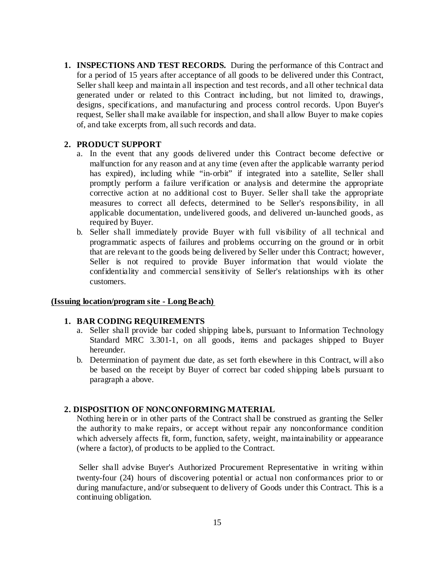**1. INSPECTIONS AND TEST RECORDS.** During the performance of this Contract and for a period of 15 years after acceptance of all goods to be delivered under this Contract, Seller shall keep and maintain all inspection and test records, and all other technical data generated under or related to this Contract including, but not limited to, drawings, designs, specifications, and manufacturing and process control records. Upon Buyer's request, Seller shall make available for inspection, and shall allow Buyer to make copies of, and take excerpts from, all such records and data.

## **2. PRODUCT SUPPORT**

- a. In the event that any goods delivered under this Contract become defective or malfunction for any reason and at any time (even after the applicable warranty period has expired), including while "in-orbit" if integrated into a satellite, Seller shall promptly perform a failure verification or analysis and determine the appropriate corrective action at no additional cost to Buyer. Seller shall take the appropriate measures to correct all defects, determined to be Seller's responsibility, in all applicable documentation, undelivered goods, and delivered un-launched goods, as required by Buyer.
- b. Seller shall immediately provide Buyer with full visibility of all technical and programmatic aspects of failures and problems occurring on the ground or in orbit that are relevant to the goods being delivered by Seller under this Contract; however, Seller is not required to provide Buyer information that would violate the confidentiality and commercial sensitivity of Seller's relationships with its other customers.

## **(Issuing location/program site - Long Beach)**

#### **1. BAR CODING REQUIREMENTS**

- a. Seller shall provide bar coded shipping labels, pursuant to Information Technology Standard MRC 3.301-1, on all goods, items and packages shipped to Buyer hereunder.
- b. Determination of payment due date, as set forth elsewhere in this Contract, will also be based on the receipt by Buyer of correct bar coded shipping labels pursuant to paragraph a above.

## **2. DISPOSITION OF NONCONFORMING MATERIAL**

Nothing herein or in other parts of the Contract shall be construed as granting the Seller the authority to make repairs, or accept without repair any nonconformance condition which adversely affects fit, form, function, safety, weight, maintainability or appearance (where a factor), of products to be applied to the Contract.

Seller shall advise Buyer's Authorized Procurement Representative in writing within twenty-four (24) hours of discovering potential or actual non conformances prior to or during manufacture, and/or subsequent to delivery of Goods under this Contract. This is a continuing obligation.